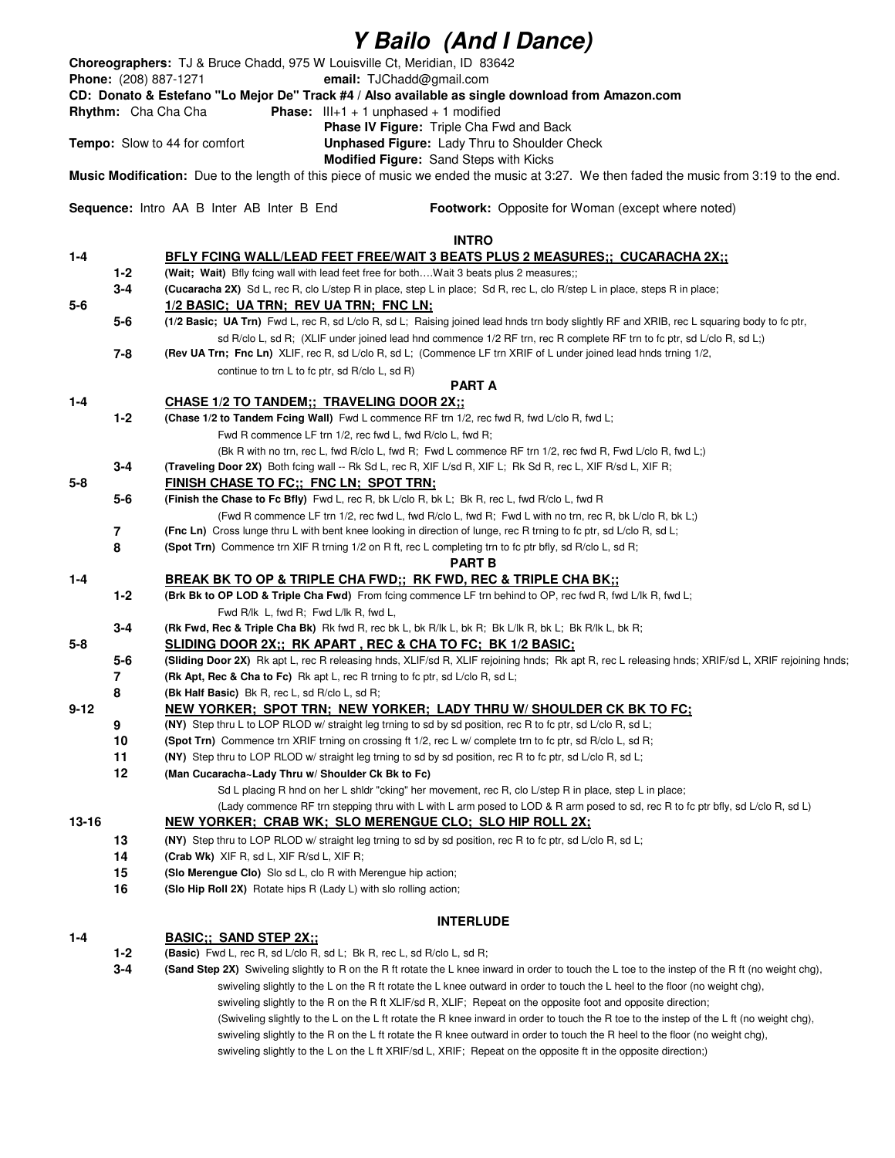| Y Bailo (And I Dance)                                                                                                                                                                                                              |         |                                                                                                                                                                                                                                                                      |  |  |                                                                        |
|------------------------------------------------------------------------------------------------------------------------------------------------------------------------------------------------------------------------------------|---------|----------------------------------------------------------------------------------------------------------------------------------------------------------------------------------------------------------------------------------------------------------------------|--|--|------------------------------------------------------------------------|
| Choreographers: TJ & Bruce Chadd, 975 W Louisville Ct, Meridian, ID 83642<br>Phone: (208) 887-1271<br>email: TJChadd@gmail.com<br>CD: Donato & Estefano "Lo Mejor De" Track #4 / Also available as single download from Amazon.com |         |                                                                                                                                                                                                                                                                      |  |  |                                                                        |
|                                                                                                                                                                                                                                    |         |                                                                                                                                                                                                                                                                      |  |  | <b>Phase:</b> $III+1 + 1$ unphased + 1 modified<br>Rhythm: Cha Cha Cha |
|                                                                                                                                                                                                                                    |         |                                                                                                                                                                                                                                                                      |  |  | Phase IV Figure: Triple Cha Fwd and Back                               |
|                                                                                                                                                                                                                                    |         | Unphased Figure: Lady Thru to Shoulder Check<br><b>Tempo:</b> Slow to 44 for comfort                                                                                                                                                                                 |  |  |                                                                        |
|                                                                                                                                                                                                                                    |         | Modified Figure: Sand Steps with Kicks<br>Music Modification: Due to the length of this piece of music we ended the music at 3:27. We then faded the music from 3:19 to the end.                                                                                     |  |  |                                                                        |
| Sequence: Intro AA B Inter AB Inter B End<br>Footwork: Opposite for Woman (except where noted)                                                                                                                                     |         |                                                                                                                                                                                                                                                                      |  |  |                                                                        |
|                                                                                                                                                                                                                                    |         | <b>INTRO</b>                                                                                                                                                                                                                                                         |  |  |                                                                        |
| $1 - 4$                                                                                                                                                                                                                            |         | BFLY FCING WALL/LEAD FEET FREE/WAIT 3 BEATS PLUS 2 MEASURES;; CUCARACHA 2X;;                                                                                                                                                                                         |  |  |                                                                        |
|                                                                                                                                                                                                                                    | 1-2     | (Wait; Wait) Bfly fcing wall with lead feet free for both Wait 3 beats plus 2 measures;;                                                                                                                                                                             |  |  |                                                                        |
|                                                                                                                                                                                                                                    | $3 - 4$ | (Cucaracha 2X) Sd L, rec R, clo L/step R in place, step L in place; Sd R, rec L, clo R/step L in place, steps R in place;                                                                                                                                            |  |  |                                                                        |
| $5-6$                                                                                                                                                                                                                              |         | 1/2 BASIC; UA TRN; REV UA TRN; FNC LN;                                                                                                                                                                                                                               |  |  |                                                                        |
|                                                                                                                                                                                                                                    | $5-6$   | (1/2 Basic; UA Trn) Fwd L, rec R, sd L/clo R, sd L; Raising joined lead hnds trn body slightly RF and XRIB, rec L squaring body to fc ptr,<br>sd R/clo L, sd R; (XLIF under joined lead hnd commence 1/2 RF trn, rec R complete RF trn to fc ptr, sd L/clo R, sd L;) |  |  |                                                                        |
|                                                                                                                                                                                                                                    | 7-8     | (Rev UA Trn; Fnc Ln) XLIF, rec R, sd L/clo R, sd L; (Commence LF trn XRIF of L under joined lead hnds trning 1/2,                                                                                                                                                    |  |  |                                                                        |
|                                                                                                                                                                                                                                    |         | continue to trn L to fc ptr, sd R/clo L, sd R)                                                                                                                                                                                                                       |  |  |                                                                        |
|                                                                                                                                                                                                                                    |         | <b>PART A</b>                                                                                                                                                                                                                                                        |  |  |                                                                        |
| 1-4                                                                                                                                                                                                                                |         | <b>CHASE 1/2 TO TANDEM;; TRAVELING DOOR 2X;;</b>                                                                                                                                                                                                                     |  |  |                                                                        |
|                                                                                                                                                                                                                                    | $1 - 2$ | (Chase 1/2 to Tandem Fcing Wall) Fwd L commence RF trn 1/2, rec fwd R, fwd L/clo R, fwd L;                                                                                                                                                                           |  |  |                                                                        |
|                                                                                                                                                                                                                                    |         | Fwd R commence LF trn 1/2, rec fwd L, fwd R/clo L, fwd R;                                                                                                                                                                                                            |  |  |                                                                        |
|                                                                                                                                                                                                                                    |         | (Bk R with no trn, rec L, fwd R/clo L, fwd R; Fwd L commence RF trn 1/2, rec fwd R, Fwd L/clo R, fwd L;)                                                                                                                                                             |  |  |                                                                        |
|                                                                                                                                                                                                                                    | 3-4     | (Traveling Door 2X) Both fcing wall -- Rk Sd L, rec R, XIF L/sd R, XIF L; Rk Sd R, rec L, XIF R/sd L, XIF R;                                                                                                                                                         |  |  |                                                                        |
| $5 - 8$                                                                                                                                                                                                                            |         | FINISH CHASE TO FC;; FNC LN; SPOT TRN;                                                                                                                                                                                                                               |  |  |                                                                        |
|                                                                                                                                                                                                                                    | $5-6$   | (Finish the Chase to Fc Bfly) Fwd L, rec R, bk L/clo R, bk L; Bk R, rec L, fwd R/clo L, fwd R                                                                                                                                                                        |  |  |                                                                        |
|                                                                                                                                                                                                                                    |         | (Fwd R commence LF trn 1/2, rec fwd L, fwd R/clo L, fwd R; Fwd L with no trn, rec R, bk L/clo R, bk L;)                                                                                                                                                              |  |  |                                                                        |
|                                                                                                                                                                                                                                    | 7<br>8  | (Fnc Ln) Cross lunge thru L with bent knee looking in direction of lunge, rec R trning to fc ptr, sd L/clo R, sd L;<br>(Spot Trn) Commence trn XIF R trning 1/2 on R ft, rec L completing trn to fc ptr bfly, sd R/clo L, sd R;                                      |  |  |                                                                        |
|                                                                                                                                                                                                                                    |         | PART B                                                                                                                                                                                                                                                               |  |  |                                                                        |
| $1 - 4$                                                                                                                                                                                                                            |         | <b>BREAK BK TO OP &amp; TRIPLE CHA FWD;; RK FWD, REC &amp; TRIPLE CHA BK;;</b>                                                                                                                                                                                       |  |  |                                                                        |
|                                                                                                                                                                                                                                    | $1 - 2$ | (Brk Bk to OP LOD & Triple Cha Fwd) From fcing commence LF trn behind to OP, rec fwd R, fwd L/lk R, fwd L;                                                                                                                                                           |  |  |                                                                        |
|                                                                                                                                                                                                                                    |         | Fwd R/lk L, fwd R; Fwd L/lk R, fwd L,                                                                                                                                                                                                                                |  |  |                                                                        |
|                                                                                                                                                                                                                                    | 3-4     | (Rk Fwd, Rec & Triple Cha Bk) Rk fwd R, rec bk L, bk R/lk L, bk R; Bk L/lk R, bk L; Bk R/lk L, bk R;                                                                                                                                                                 |  |  |                                                                        |
| 5-8                                                                                                                                                                                                                                |         | SLIDING DOOR 2X;; RK APART, REC & CHA TO FC; BK 1/2 BASIC;                                                                                                                                                                                                           |  |  |                                                                        |
|                                                                                                                                                                                                                                    | $5-6$   | (Sliding Door 2X) Rk apt L, rec R releasing hnds, XLIF/sd R, XLIF rejoining hnds; Rk apt R, rec L releasing hnds; XRIF/sd L, XRIF rejoining hnds;                                                                                                                    |  |  |                                                                        |
|                                                                                                                                                                                                                                    | 7       | (Rk Apt. Rec & Cha to Fc) Rk apt L, rec R trning to fc ptr, sd L/clo R, sd L;                                                                                                                                                                                        |  |  |                                                                        |
| $9 - 12$                                                                                                                                                                                                                           | 8       | <b>(Bk Half Basic)</b> Bk R, rec L, sd R/clo L, sd R;<br>NEW YORKER; SPOT TRN; NEW YORKER; LADY THRU W/ SHOULDER CK BK TO FC;                                                                                                                                        |  |  |                                                                        |
|                                                                                                                                                                                                                                    | 9       | (NY) Step thru L to LOP RLOD w/ straight leg trning to sd by sd position, rec R to fc ptr, sd L/clo R, sd L;                                                                                                                                                         |  |  |                                                                        |
|                                                                                                                                                                                                                                    | 10      | (Spot Trn) Commence trn XRIF trning on crossing ft 1/2, rec L w/ complete trn to fc ptr, sd R/clo L, sd R;                                                                                                                                                           |  |  |                                                                        |
|                                                                                                                                                                                                                                    | 11      | (NY) Step thru to LOP RLOD w/ straight leg trning to sd by sd position, rec R to fc ptr, sd L/clo R, sd L;                                                                                                                                                           |  |  |                                                                        |
|                                                                                                                                                                                                                                    | 12      | (Man Cucaracha~Lady Thru w/ Shoulder Ck Bk to Fc)                                                                                                                                                                                                                    |  |  |                                                                        |
|                                                                                                                                                                                                                                    |         | Sd L placing R hnd on her L shldr "cking" her movement, rec R, clo L/step R in place, step L in place;                                                                                                                                                               |  |  |                                                                        |
| 13-16                                                                                                                                                                                                                              |         | (Lady commence RF trn stepping thru with L with L arm posed to LOD & R arm posed to sd, rec R to fc ptr bfly, sd L/clo R, sd L)<br><u>NEW YORKER; CRAB WK; SLO MERENGUE CLO; SLO HIP ROLL 2X;</u>                                                                    |  |  |                                                                        |
|                                                                                                                                                                                                                                    | 13      | (NY) Step thru to LOP RLOD w/ straight leg trning to sd by sd position, rec R to fc ptr, sd L/clo R, sd L;                                                                                                                                                           |  |  |                                                                        |
|                                                                                                                                                                                                                                    | 14      | (Crab Wk) XIF R, sd L, XIF R/sd L, XIF R;                                                                                                                                                                                                                            |  |  |                                                                        |
|                                                                                                                                                                                                                                    | 15      | (Slo Merengue Clo) Slo sd L, clo R with Merengue hip action;                                                                                                                                                                                                         |  |  |                                                                        |
|                                                                                                                                                                                                                                    | 16      | (Slo Hip Roll 2X) Rotate hips R (Lady L) with slo rolling action;                                                                                                                                                                                                    |  |  |                                                                        |
| <b>INTERLUDE</b>                                                                                                                                                                                                                   |         |                                                                                                                                                                                                                                                                      |  |  |                                                                        |
| 1-4                                                                                                                                                                                                                                |         | <b>BASIC:: SAND STEP 2X::</b>                                                                                                                                                                                                                                        |  |  |                                                                        |
|                                                                                                                                                                                                                                    | $1 - 2$ | <b>(Basic)</b> Fwd L, rec R, sd L/clo R, sd L; Bk R, rec L, sd R/clo L, sd R;                                                                                                                                                                                        |  |  |                                                                        |
|                                                                                                                                                                                                                                    | $3 - 4$ | (Sand Step 2X) Swiveling slightly to R on the R ft rotate the L knee inward in order to touch the L toe to the instep of the R ft (no weight chg),                                                                                                                   |  |  |                                                                        |

swiveling slightly to the L on the R ft rotate the L knee outward in order to touch the L heel to the floor (no weight chg), swiveling slightly to the R on the R ft XLIF/sd R, XLIF; Repeat on the opposite foot and opposite direction; (Swiveling slightly to the L on the L ft rotate the R knee inward in order to touch the R toe to the instep of the L ft (no weight chg), swiveling slightly to the R on the L ft rotate the R knee outward in order to touch the R heel to the floor (no weight chg), swiveling slightly to the L on the L ft XRIF/sd L, XRIF; Repeat on the opposite ft in the opposite direction;)